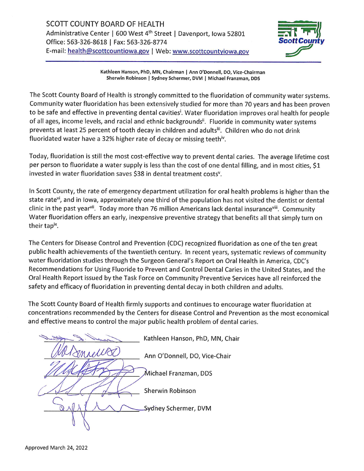

Kathleen Hanson, PhD, MN, Chairman | Ann O'Donnell, DO, Vice-Chairman Sherwin Robinson | Sydney Schermer, DVM | Michael Franzman, DDS

The Scott County Board of Health is strongly committed to the fluoridation of community water systems. Community water fluoridation has been extensively studied for more than 70 years and has been proven to be safe and effective in preventing dental cavities<sup>i</sup>. Water fluoridation improves oral health for people of all ages, income levels, and racial and ethnic backgrounds". Fluoride in community water systems prevents at least 25 percent of tooth decay in children and adults<sup>ii</sup>. Children who do not drink fluoridated water have a 32% higher rate of decay or missing teeth<sup>iv</sup>.

Today, fluoridation is still the most cost-effective way to prevent dental caries. The average lifetime cost per person to fluoridate a water supply is less than the cost of one dental filling, and in most cities, \$1 invested in water fluoridation saves \$38 in dental treatment costs<sup>v</sup>.

In Scott County, the rate of emergency department utilization for oral health problems is higher than the state rate<sup>vi</sup>, and in lowa, approximately one third of the population has not visited the dentist or dental clinic in the past year<sup>vii</sup>. Today more than 76 million Americans lack dental insurance<sup>viii</sup>. Community Water fluoridation offers an early, inexpensive preventive strategy that benefits all that simply turn on their tapix.

The Centers for Disease Control and Prevention (CDC) recognized fluoridation as one of the ten great public health achievements of the twentieth century. In recent years, systematic reviews of community water fluoridation studies through the Surgeon General's Report on Oral Health in America, CDC's Recommendations for Using Fluoride to Prevent and Control Dental Caries in the United States, and the Oral Health Report issued by the Task Force on Community Preventive Services have all reinforced the safety and efficacy of fluoridation in preventing dental decay in both children and adults.

The Scott County Board of Health firmly supports and continues to encourage water fluoridation at concentrations recommended by the Centers for disease Control and Prevention as the most economical and effective means to control the major public health problem of dental caries.

Kathleen Hanson, PhD, MN, Chair Ann O'Donnell, DO, Vice-Chair Michael Franzman, DDS Sherwin Robinson Sydney Schermer, DVM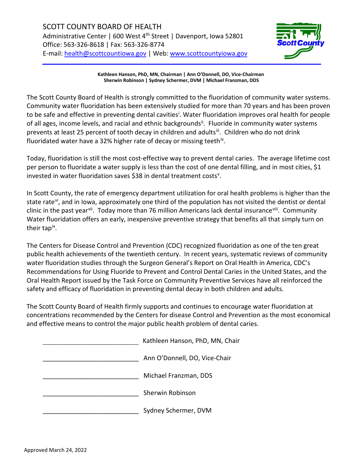

**Kathleen Hanson, PhD, MN, Chairman | Ann O'Donnell, DO, Vice-Chairman Sherwin Robinson | Sydney Schermer, DVM | Michael Franzman, DDS**

The Scott County Board of Health is strongly committed to the fluoridation of community water systems. Community water fluoridation has been extensively studied for more than 70 years and has been proven to be safe and effect[i](#page-2-0)ve in preventing dental cavities<sup>i</sup>. Water fluoridation improves oral health for people of all ages, income levels, and racial and ethnic backgrounds<sup>[ii](#page-2-1)</sup>. Fluoride in community water systems prevents at least 25 percent of tooth decay in children and adultsii. Children who do not drink fluoridated water have a 32% higher rate of decay or missing teeth<sup>[iv](#page-2-3)</sup>.

Today, fluoridation is still the most cost-effective way to prevent dental caries. The average lifetime cost per person to fluoridate a water supply is less than the cost of one dental filling, and in most cities, \$1 in[v](#page-2-4)ested in water fluoridation saves \$38 in dental treatment costs<sup>v</sup>.

In Scott County, the rate of emergency department utilization for oral health problems is higher than the state rate<sup>[vi](#page-2-5)</sup>, and in Iowa, approximately one third of the population has not visited the dentist or dental clinic in the past year<sup>vii</sup>. Today more than 76 million Americans lack dental insurance<sup>viii</sup>. Community Water fluoridation offers an early, inexpensive preventive strategy that benefits all that simply turn on their ta[pix.](#page-2-8)

The Centers for Disease Control and Prevention (CDC) recognized fluoridation as one of the ten great public health achievements of the twentieth century. In recent years, systematic reviews of community water fluoridation studies through the Surgeon General's Report on Oral Health in America, CDC's Recommendations for Using Fluoride to Prevent and Control Dental Caries in the United States, and the Oral Health Report issued by the Task Force on Community Preventive Services have all reinforced the safety and efficacy of fluoridation in preventing dental decay in both children and adults.

The Scott County Board of Health firmly supports and continues to encourage water fluoridation at concentrations recommended by the Centers for disease Control and Prevention as the most economical and effective means to control the major public health problem of dental caries.

| Kathleen Hanson, PhD, MN, Chair |
|---------------------------------|
| Ann O'Donnell, DO, Vice-Chair   |
| Michael Franzman, DDS           |
| Sherwin Robinson                |
| Sydney Schermer, DVM            |